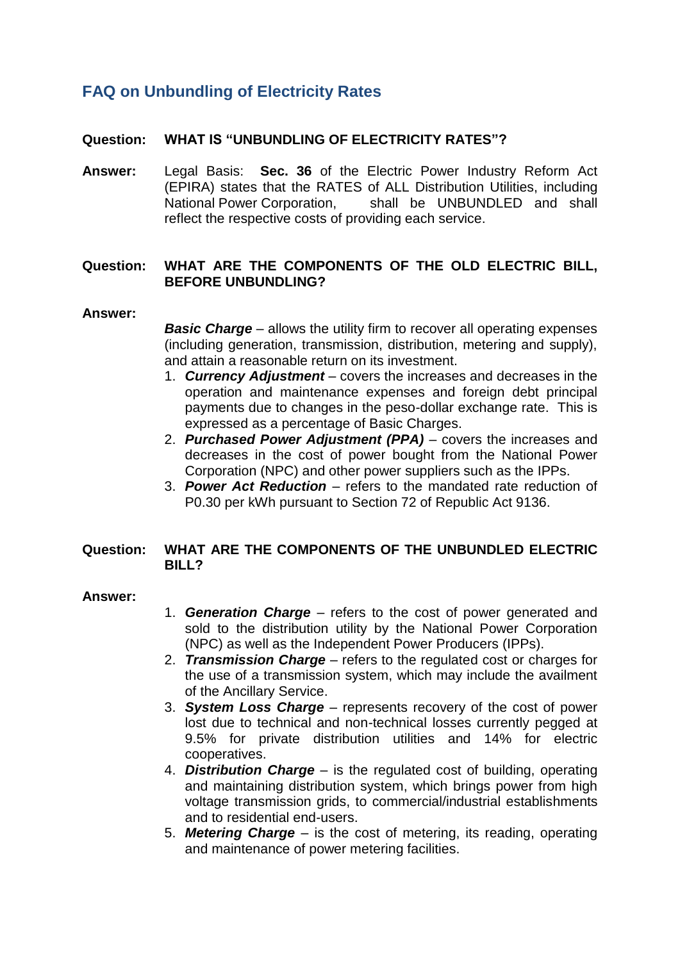# **FAQ on Unbundling of Electricity Rates**

## **Question: WHAT IS "UNBUNDLING OF ELECTRICITY RATES"?**

**Answer:** Legal Basis: **Sec. 36** of the Electric Power Industry Reform Act (EPIRA) states that the RATES of ALL Distribution Utilities, including National Power Corporation, shall be UNBUNDLED and shall reflect the respective costs of providing each service.

## **Question: WHAT ARE THE COMPONENTS OF THE OLD ELECTRIC BILL, BEFORE UNBUNDLING?**

#### **Answer:**

*Basic Charge* – allows the utility firm to recover all operating expenses (including generation, transmission, distribution, metering and supply), and attain a reasonable return on its investment.

- 1. *Currency Adjustment* covers the increases and decreases in the operation and maintenance expenses and foreign debt principal payments due to changes in the peso-dollar exchange rate. This is expressed as a percentage of Basic Charges.
- 2. *Purchased Power Adjustment (PPA)* covers the increases and decreases in the cost of power bought from the National Power Corporation (NPC) and other power suppliers such as the IPPs.
- 3. *Power Act Reduction* refers to the mandated rate reduction of P0.30 per kWh pursuant to Section 72 of Republic Act 9136.

## **Question: WHAT ARE THE COMPONENTS OF THE UNBUNDLED ELECTRIC BILL?**

### **Answer:**

- 1. *Generation Charge* refers to the cost of power generated and sold to the distribution utility by the National Power Corporation (NPC) as well as the Independent Power Producers (IPPs).
- 2. *Transmission Charge* refers to the regulated cost or charges for the use of a transmission system, which may include the availment of the Ancillary Service.
- 3. *System Loss Charge* represents recovery of the cost of power lost due to technical and non-technical losses currently pegged at 9.5% for private distribution utilities and 14% for electric cooperatives.
- 4. *Distribution Charge* is the regulated cost of building, operating and maintaining distribution system, which brings power from high voltage transmission grids, to commercial/industrial establishments and to residential end-users.
- 5. *Metering Charge* is the cost of metering, its reading, operating and maintenance of power metering facilities.